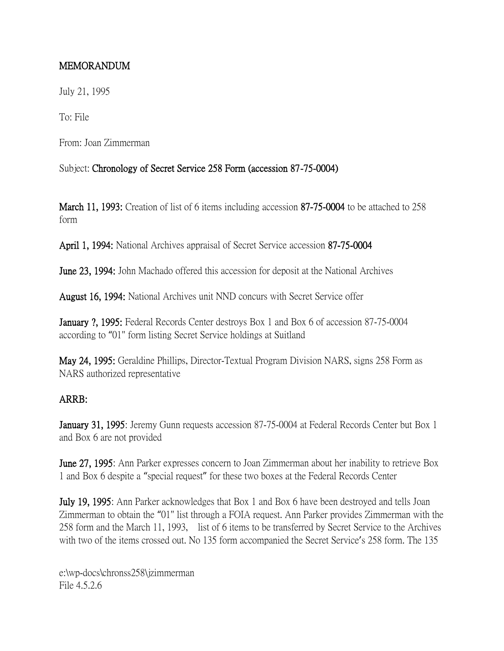## MEMORANDUM

July 21, 1995

To: File

From: Joan Zimmerman

Subject: Chronology of Secret Service 258 Form (accession 87-75-0004)

March 11, 1993: Creation of list of 6 items including accession 87-75-0004 to be attached to 258 form

April 1, 1994: National Archives appraisal of Secret Service accession 87-75-0004

June 23, 1994: John Machado offered this accession for deposit at the National Archives

August 16, 1994: National Archives unit NND concurs with Secret Service offer

January ?, 1995: Federal Records Center destroys Box 1 and Box 6 of accession 87-75-0004 according to "01" form listing Secret Service holdings at Suitland

May 24, 1995: Geraldine Phillips, Director-Textual Program Division NARS, signs 258 Form as NARS authorized representative

## ARRB:

January 31, 1995: Jeremy Gunn requests accession 87-75-0004 at Federal Records Center but Box 1 and Box 6 are not provided

June 27, 1995: Ann Parker expresses concern to Joan Zimmerman about her inability to retrieve Box 1 and Box 6 despite a "special request" for these two boxes at the Federal Records Center

July 19, 1995: Ann Parker acknowledges that Box 1 and Box 6 have been destroyed and tells Joan Zimmerman to obtain the "01" list through a FOIA request. Ann Parker provides Zimmerman with the 258 form and the March 11, 1993, list of 6 items to be transferred by Secret Service to the Archives with two of the items crossed out. No 135 form accompanied the Secret Service's 258 form. The 135

e:\wp-docs\chronss258\jzimmerman File 4.5.2.6